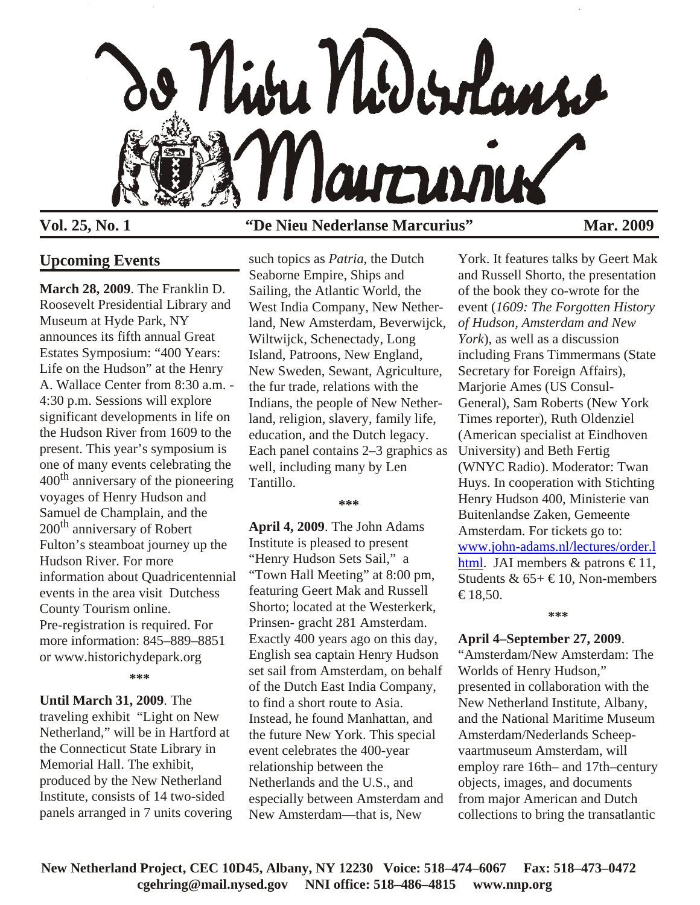

## **Upcoming Events**

**March 28, 2009**. The Franklin D. Roosevelt Presidential Library and Museum at Hyde Park, NY announces its fifth annual Great Estates Symposium: "400 Years: Life on the Hudson" at the Henry A. Wallace Center from 8:30 a.m. - 4:30 p.m. Sessions will explore significant developments in life on the Hudson River from 1609 to the present. This year's symposium is one of many events celebrating the  $400<sup>th</sup>$  anniversary of the pioneering voyages of Henry Hudson and Samuel de Champlain, and the 200<sup>th</sup> anniversary of Robert Fulton's steamboat journey up the Hudson River. For more information about Quadricentennial events in the area visit Dutchess County Tourism online. Pre-registration is required. For more information: 845–889–8851 or www.historichydepark.org **\*\*\***

**Until March 31, 2009**. The traveling exhibit "Light on New Netherland," will be in Hartford at the Connecticut State Library in Memorial Hall. The exhibit, produced by the New Netherland Institute, consists of 14 two-sided panels arranged in 7 units covering

## **Vol. 25, No. 1 "De Nieu Nederlanse Marcurius" Mar. 2009**

such topics as *Patria*, the Dutch Seaborne Empire, Ships and Sailing, the Atlantic World, the West India Company, New Netherland, New Amsterdam, Beverwijck, Wiltwijck, Schenectady, Long Island, Patroons, New England, New Sweden, Sewant, Agriculture, the fur trade, relations with the Indians, the people of New Netherland, religion, slavery, family life, education, and the Dutch legacy. Each panel contains 2–3 graphics as well, including many by Len Tantillo.

#### **\*\*\***

**April 4, 2009**. The John Adams Institute is pleased to present "Henry Hudson Sets Sail," a "Town Hall Meeting" at 8:00 pm, featuring Geert Mak and Russell Shorto; located at the Westerkerk, Prinsen- gracht 281 Amsterdam. Exactly 400 years ago on this day, English sea captain Henry Hudson set sail from Amsterdam, on behalf of the Dutch East India Company, to find a short route to Asia. Instead, he found Manhattan, and the future New York. This special event celebrates the 400-year relationship between the Netherlands and the U.S., and especially between Amsterdam and New Amsterdam—that is, New

York. It features talks by Geert Mak and Russell Shorto, the presentation of the book they co-wrote for the event (*1609: The Forgotten History of Hudson, Amsterdam and New York*), as well as a discussion including Frans Timmermans (State Secretary for Foreign Affairs), Marjorie Ames (US Consul-General), Sam Roberts (New York Times reporter), Ruth Oldenziel (American specialist at Eindhoven University) and Beth Fertig (WNYC Radio). Moderator: Twan Huys. In cooperation with Stichting Henry Hudson 400, Ministerie van Buitenlandse Zaken, Gemeente Amsterdam. For tickets go to: [www.john-adams.nl/lectures/order.l](http://www.john-adams.nl/lectures/order.lhtml) [html](http://www.john-adams.nl/lectures/order.lhtml). JAI members & patrons  $\in$ 11, Students &  $65 + \text{\textsterling}10$ , Non-members  $€18,50.$ 

# **\*\*\***

### **April 4–September 27, 2009**.

"Amsterdam/New Amsterdam: The Worlds of Henry Hudson," presented in collaboration with the New Netherland Institute, Albany, and the National Maritime Museum Amsterdam/Nederlands Scheepvaartmuseum Amsterdam, will employ rare 16th– and 17th–century objects, images, and documents from major American and Dutch collections to bring the transatlantic

**New Netherland Project, CEC 10D45, Albany, NY 12230 Voice: 518–474–6067 Fax: 518–473–0472 cgehring@mail.nysed.gov NNI office: 518–486–4815 www.nnp.org**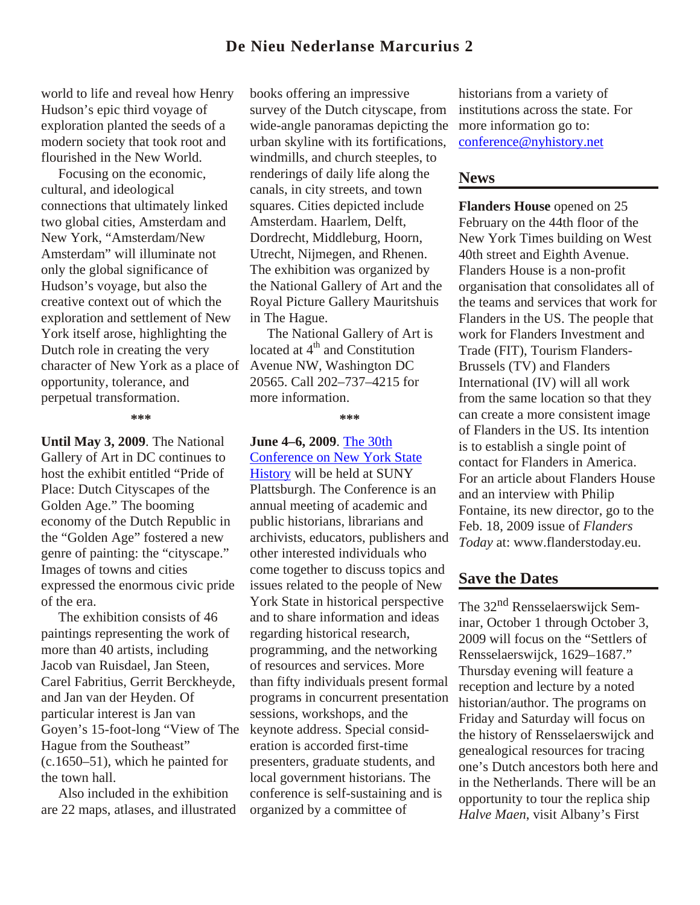## **De Nieu Nederlanse Marcurius 2**

world to life and reveal how Henry Hudson's epic third voyage of exploration planted the seeds of a modern society that took root and flourished in the New World.

 Focusing on the economic, cultural, and ideological connections that ultimately linked two global cities, Amsterdam and New York, "Amsterdam/New Amsterdam" will illuminate not only the global significance of Hudson's voyage, but also the creative context out of which the exploration and settlement of New York itself arose, highlighting the Dutch role in creating the very character of New York as a place of opportunity, tolerance, and perpetual transformation.

**\*\*\***

**Until May 3, 2009**. The National Gallery of Art in DC continues to host the exhibit entitled "Pride of Place: Dutch Cityscapes of the Golden Age." The booming economy of the Dutch Republic in the "Golden Age" fostered a new genre of painting: the "cityscape." Images of towns and cities expressed the enormous civic pride of the era.

 The exhibition consists of 46 paintings representing the work of more than 40 artists, including Jacob van Ruisdael, Jan Steen, Carel Fabritius, Gerrit Berckheyde, and Jan van der Heyden. Of particular interest is Jan van Goyen's 15-foot-long "View of The Hague from the Southeast" (c.1650–51), which he painted for the town hall.

 Also included in the exhibition are 22 maps, atlases, and illustrated books offering an impressive survey of the Dutch cityscape, from wide-angle panoramas depicting the urban skyline with its fortifications, windmills, and church steeples, to renderings of daily life along the canals, in city streets, and town squares. Cities depicted include Amsterdam. Haarlem, Delft, Dordrecht, Middleburg, Hoorn, Utrecht, Nijmegen, and Rhenen. The exhibition was organized by the National Gallery of Art and the Royal Picture Gallery Mauritshuis in The Hague.

 The National Gallery of Art is located at 4<sup>th</sup> and Constitution Avenue NW, Washington DC 20565. Call 202–737–4215 for more information.

**\*\*\***

#### **June 4–6, 2009**. [The 30th](http://www.nyhistory.com/cnysh/cfp2009.htm) [Conference on New York State](http://www.nyhistory.com/cnysh/2009CNYSHProgram.htm)

[History](http://www.nyhistory.com/cnysh/cfp2009.htm) will be held at SUNY Plattsburgh. The Conference is an annual meeting of academic and public historians, librarians and archivists, educators, publishers and other interested individuals who come together to discuss topics and issues related to the people of New York State in historical perspective and to share information and ideas regarding historical research, programming, and the networking of resources and services. More than fifty individuals present formal programs in concurrent presentation sessions, workshops, and the keynote address. Special consideration is accorded first-time presenters, graduate students, and local government historians. The conference is self-sustaining and is organized by a committee of

historians from a variety of institutions across the state. For more information go to: [conference@nyhistory.net](mailto:conference@nyhistory.net)

## **News**

**Flanders House** opened on 25 February on the 44th floor of the New York Times building on West 40th street and Eighth Avenue. Flanders House is a non-profit organisation that consolidates all of the teams and services that work for Flanders in the US. The people that work for Flanders Investment and Trade (FIT), Tourism Flanders-Brussels (TV) and Flanders International (IV) will all work from the same location so that they can create a more consistent image of Flanders in the US. Its intention is to establish a single point of contact for Flanders in America. For an article about Flanders House and an interview with Philip Fontaine, its new director, go to the Feb. 18, 2009 issue of *Flanders Today* at: www.flanderstoday.eu.

## **Save the Dates**

The 32nd Rensselaerswijck Seminar, October 1 through October 3, 2009 will focus on the "Settlers of Rensselaerswijck, 1629–1687." Thursday evening will feature a reception and lecture by a noted historian/author. The programs on Friday and Saturday will focus on the history of Rensselaerswijck and genealogical resources for tracing one's Dutch ancestors both here and in the Netherlands. There will be an opportunity to tour the replica ship *Halve Maen*, visit Albany's First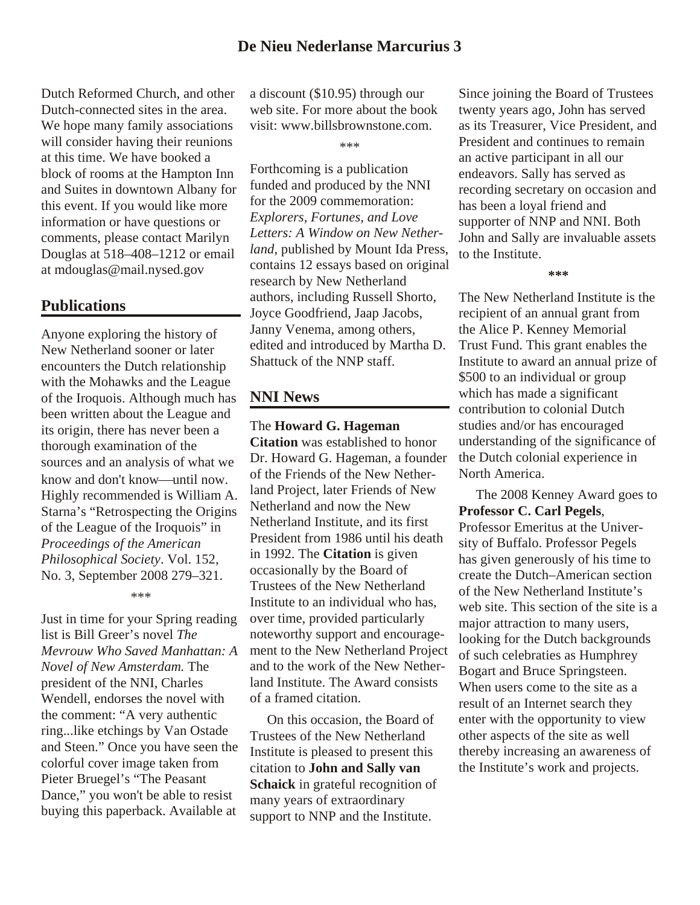Dutch Reformed Church, and other Dutch-connected sites in the area. We hope many family associations will consider having their reunions at this time. We have booked a block of rooms at the Hampton Inn and Suites in downtown Albany for this event. If you would like more information or have questions or comments, please contact Marilyn Douglas at 518–408–1212 or email at mdouglas@mail.nysed.gov

## **Publications**

Anyone exploring the history of New Netherland sooner or later encounters the Dutch relationship with the Mohawks and the League of the Iroquois. Although much has been written about the League and its origin, there has never been a thorough examination of the sources and an analysis of what we know and don't know until now. Highly recommended is William A. Starna's "Retrospecting the Origins of the League of the Iroquois" in *Proceedings of the American Philosophical Society*. Vol. 152, No. 3, September 2008 279–321.

\*\*\*

Just in time for your Spring reading list is Bill Greer's novel *The Mevrouw Who Saved Manhattan: A Novel of New Amsterdam.* The president of the NNI, Charles Wendell, endorses the novel with the comment: "A very authentic ring...like etchings by Van Ostade and Steen." Once you have seen the colorful cover image taken from Pieter Bruegel's "The Peasant Dance," you won't be able to resist buying this paperback. Available at

a discount (\$10.95) through our web site. For more about the book visit: www.billsbrownstone.com.

\*\*\*

Forthcoming is a publication funded and produced by the NNI for the 2009 commemoration: *Explorers, Fortunes, and Love Letters: A Window on New Netherland*, published by Mount Ida Press, contains 12 essays based on original research by New Netherland authors, including Russell Shorto, Joyce Goodfriend, Jaap Jacobs, Janny Venema, among others, edited and introduced by Martha D. Shattuck of the NNP staff.

## **NNI News**

### The **Howard G. Hageman**

**Citation** was established to honor Dr. Howard G. Hageman, a founder of the Friends of the New Netherland Project, later Friends of New Netherland and now the New Netherland Institute, and its first President from 1986 until his death in 1992. The **Citation** is given occasionally by the Board of Trustees of the New Netherland Institute to an individual who has, over time, provided particularly noteworthy support and encouragement to the New Netherland Project and to the work of the New Netherland Institute. The Award consists of a framed citation.

 On this occasion, the Board of Trustees of the New Netherland Institute is pleased to present this citation to **John and Sally van Schaick** in grateful recognition of many years of extraordinary support to NNP and the Institute.

Since joining the Board of Trustees twenty years ago, John has served as its Treasurer, Vice President, and President and continues to remain an active participant in all our endeavors. Sally has served as recording secretary on occasion and has been a loyal friend and supporter of NNP and NNI. Both John and Sally are invaluable assets to the Institute.

**\*\*\***

The New Netherland Institute is the recipient of an annual grant from the Alice P. Kenney Memorial Trust Fund. This grant enables the Institute to award an annual prize of \$500 to an individual or group which has made a significant contribution to colonial Dutch studies and/or has encouraged understanding of the significance of the Dutch colonial experience in North America.

 The 2008 Kenney Award goes to **Professor C. Carl Pegels**, Professor Emeritus at the University of Buffalo. Professor Pegels has given generously of his time to create the Dutch–American section of the New Netherland Institute's web site. This section of the site is a major attraction to many users, looking for the Dutch backgrounds of such celebraties as Humphrey Bogart and Bruce Springsteen. When users come to the site as a result of an Internet search they enter with the opportunity to view other aspects of the site as well thereby increasing an awareness of the Institute's work and projects.